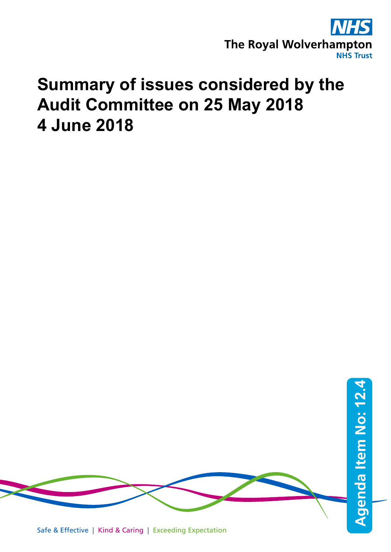

## **Summary of issues considered by the Audit Committee on 25 May 2018 4 June 2018**

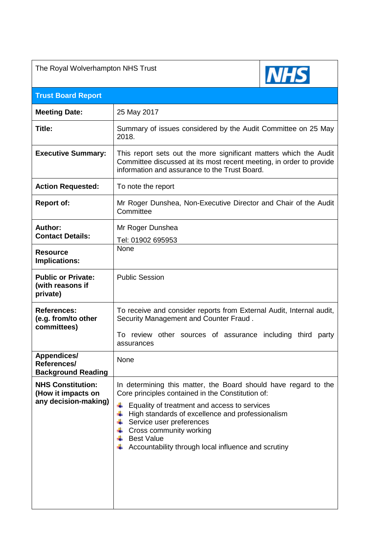| The Royal Wolverhampton NHS Trust                                                                                                                                                                                                                                                                                                                           |      |  |
|-------------------------------------------------------------------------------------------------------------------------------------------------------------------------------------------------------------------------------------------------------------------------------------------------------------------------------------------------------------|------|--|
|                                                                                                                                                                                                                                                                                                                                                             |      |  |
| 25 May 2017                                                                                                                                                                                                                                                                                                                                                 |      |  |
| Summary of issues considered by the Audit Committee on 25 May<br>2018.                                                                                                                                                                                                                                                                                      |      |  |
| This report sets out the more significant matters which the Audit<br>Committee discussed at its most recent meeting, in order to provide<br>information and assurance to the Trust Board.                                                                                                                                                                   |      |  |
| To note the report                                                                                                                                                                                                                                                                                                                                          |      |  |
| Mr Roger Dunshea, Non-Executive Director and Chair of the Audit<br>Committee                                                                                                                                                                                                                                                                                |      |  |
| Mr Roger Dunshea                                                                                                                                                                                                                                                                                                                                            |      |  |
| Tel: 01902 695953                                                                                                                                                                                                                                                                                                                                           |      |  |
|                                                                                                                                                                                                                                                                                                                                                             |      |  |
| <b>Public Session</b>                                                                                                                                                                                                                                                                                                                                       |      |  |
| To receive and consider reports from External Audit, Internal audit,<br>Security Management and Counter Fraud.                                                                                                                                                                                                                                              |      |  |
| To review other sources of assurance including third party<br>assurances                                                                                                                                                                                                                                                                                    |      |  |
| None                                                                                                                                                                                                                                                                                                                                                        |      |  |
| In determining this matter, the Board should have regard to the<br>Core principles contained in the Constitution of:<br>Equality of treatment and access to services<br>High standards of excellence and professionalism<br>Service user preferences<br>Cross community working<br><b>Best Value</b><br>Accountability through local influence and scrutiny |      |  |
|                                                                                                                                                                                                                                                                                                                                                             | None |  |